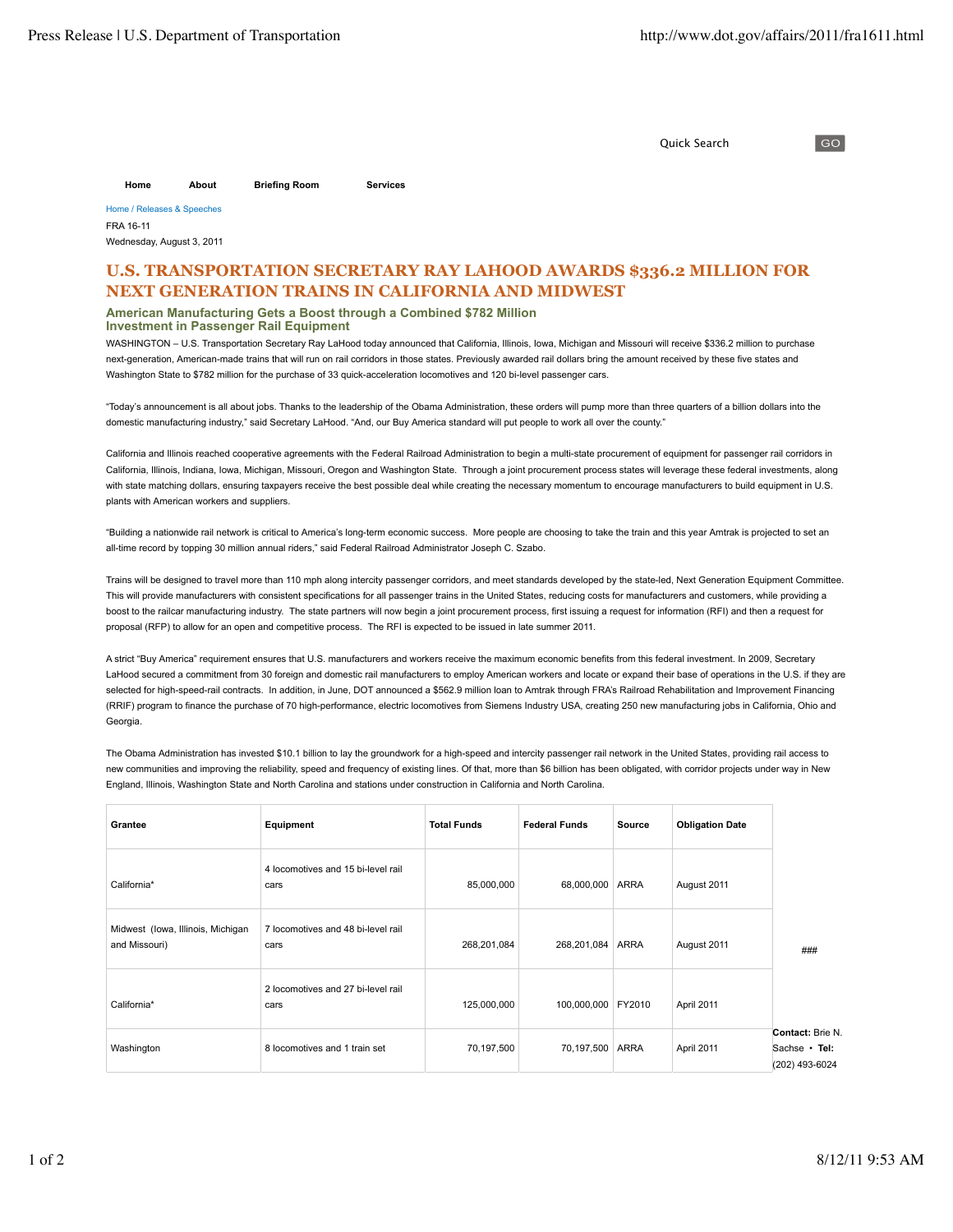Quick Search

 $\overline{GQ}$ 

**Home About Briefing Room Services**

Home / Releases & Speeches FRA 16-11 Wednesday, August 3, 2011

## **U.S. TRANSPORTATION SECRETARY RAY LAHOOD AWARDS \$336.2 MILLION FOR NEXT GENERATION TRAINS IN CALIFORNIA AND MIDWEST**

**American Manufacturing Gets a Boost through a Combined \$782 Million**

**Investment in Passenger Rail Equipment**

WASHINGTON - U.S. Transportation Secretary Ray LaHood today announced that California, Illinois, Iowa, Michigan and Missouri will receive \$336.2 million to purchase next-generation, American-made trains that will run on rail corridors in those states. Previously awarded rail dollars bring the amount received by these five states and Washington State to \$782 million for the purchase of 33 quick-acceleration locomotives and 120 bi-level passenger cars.

"Today's announcement is all about jobs. Thanks to the leadership of the Obama Administration, these orders will pump more than three quarters of a billion dollars into the domestic manufacturing industry," said Secretary LaHood. "And, our Buy America standard will put people to work all over the county."

California and Illinois reached cooperative agreements with the Federal Railroad Administration to begin a multi-state procurement of equipment for passenger rail corridors in California, Illinois, Indiana, Iowa, Michigan, Missouri, Oregon and Washington State. Through a joint procurement process states will leverage these federal investments, along with state matching dollars, ensuring taxpayers receive the best possible deal while creating the necessary momentum to encourage manufacturers to build equipment in U.S. plants with American workers and suppliers.

"Building a nationwide rail network is critical to America's long-term economic success. More people are choosing to take the train and this year Amtrak is projected to set an all-time record by topping 30 million annual riders," said Federal Railroad Administrator Joseph C. Szabo.

Trains will be designed to travel more than 110 mph along intercity passenger corridors, and meet standards developed by the state-led. Next Generation Equipment Committee. This will provide manufacturers with consistent specifications for all passenger trains in the United States, reducing costs for manufacturers and customers, while providing a boost to the railcar manufacturing industry. The state partners will now begin a joint procurement process, first issuing a request for information (RFI) and then a request for proposal (RFP) to allow for an open and competitive process. The RFI is expected to be issued in late summer 2011.

A strict "Buy America" requirement ensures that U.S. manufacturers and workers receive the maximum economic benefits from this federal investment. In 2009, Secretary LaHood secured a commitment from 30 foreign and domestic rail manufacturers to employ American workers and locate or expand their base of operations in the U.S. if they are selected for high-speed-rail contracts. In addition, in June, DOT announced a \$562.9 million loan to Amtrak through FRA's Railroad Rehabilitation and Improvement Financing (RRIF) program to finance the purchase of 70 high-performance, electric locomotives from Siemens Industry USA, creating 250 new manufacturing jobs in California, Ohio and Georgia.

The Obama Administration has invested \$10.1 billion to lay the groundwork for a high-speed and intercity passenger rail network in the United States, providing rail access to new communities and improving the reliability, speed and frequency of existing lines. Of that, more than \$6 billion has been obligated, with corridor projects under way in New England, Illinois, Washington State and North Carolina and stations under construction in California and North Carolina.

| Grantee                                            | Equipment                                  | <b>Total Funds</b> | <b>Federal Funds</b> | Source | <b>Obligation Date</b> |                                                     |
|----------------------------------------------------|--------------------------------------------|--------------------|----------------------|--------|------------------------|-----------------------------------------------------|
| California*                                        | 4 locomotives and 15 bi-level rail<br>cars | 85,000,000         | 68,000,000           | ARRA   | August 2011            |                                                     |
| Midwest (Iowa, Illinois, Michigan<br>and Missouri) | 7 locomotives and 48 bi-level rail<br>cars | 268,201,084        | 268,201,084          | ARRA   | August 2011            | ###                                                 |
| California*                                        | 2 locomotives and 27 bi-level rail<br>cars | 125,000,000        | 100,000,000          | FY2010 | April 2011             |                                                     |
| Washington                                         | 8 locomotives and 1 train set              | 70,197,500         | 70,197,500 ARRA      |        | April 2011             | Contact: Brie N.<br>Sachse • Tel:<br>(202) 493-6024 |